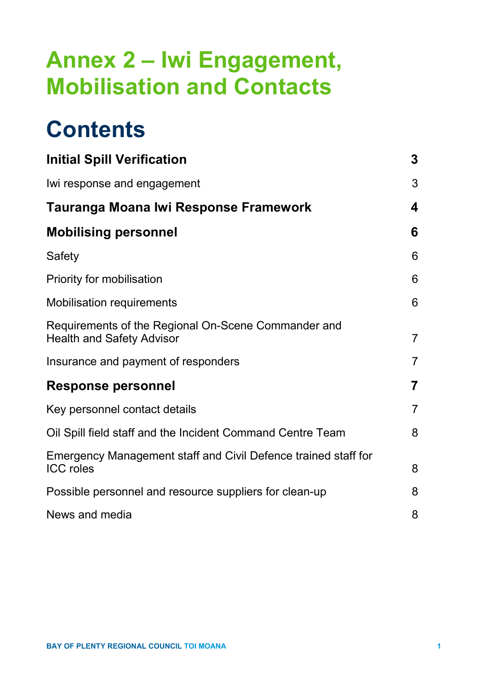# **Annex 2 – Iwi Engagement, Mobilisation and Contacts**

# **Contents**

| <b>Initial Spill Verification</b>                                                       | 3              |
|-----------------------------------------------------------------------------------------|----------------|
| Iwi response and engagement                                                             | 3              |
| Tauranga Moana Iwi Response Framework                                                   | 4              |
| <b>Mobilising personnel</b>                                                             | 6              |
| Safety                                                                                  | 6              |
| Priority for mobilisation                                                               | 6              |
| <b>Mobilisation requirements</b>                                                        | 6              |
| Requirements of the Regional On-Scene Commander and<br><b>Health and Safety Advisor</b> | $\overline{7}$ |
| Insurance and payment of responders                                                     | $\overline{7}$ |
| <b>Response personnel</b>                                                               | 7              |
| Key personnel contact details                                                           | $\overline{7}$ |
| Oil Spill field staff and the Incident Command Centre Team                              | 8              |
| Emergency Management staff and Civil Defence trained staff for<br><b>ICC</b> roles      | 8              |
| Possible personnel and resource suppliers for clean-up                                  | 8              |
| News and media                                                                          | 8              |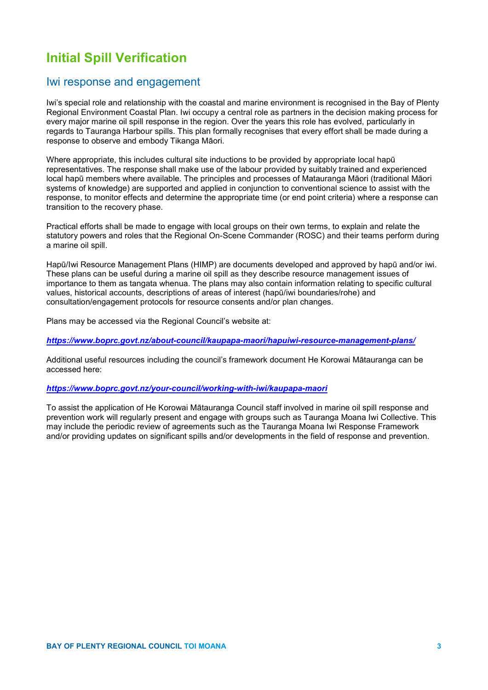## **Initial Spill Verification**

## Iwi response and engagement

Iwi's special role and relationship with the coastal and marine environment is recognised in the Bay of Plenty Regional Environment Coastal Plan. Iwi occupy a central role as partners in the decision making process for every major marine oil spill response in the region. Over the years this role has evolved, particularly in regards to Tauranga Harbour spills. This plan formally recognises that every effort shall be made during a response to observe and embody Tikanga Māori.

Where appropriate, this includes cultural site inductions to be provided by appropriate local hapū representatives. The response shall make use of the labour provided by suitably trained and experienced local hapū members where available. The principles and processes of Matauranga Māori (traditional Māori systems of knowledge) are supported and applied in conjunction to conventional science to assist with the response, to monitor effects and determine the appropriate time (or end point criteria) where a response can transition to the recovery phase.

Practical efforts shall be made to engage with local groups on their own terms, to explain and relate the statutory powers and roles that the Regional On-Scene Commander (ROSC) and their teams perform during a marine oil spill.

Hapū/Iwi Resource Management Plans (HIMP) are documents developed and approved by hapū and/or iwi. These plans can be useful during a marine oil spill as they describe resource management issues of importance to them as tangata whenua. The plans may also contain information relating to specific cultural values, historical accounts, descriptions of areas of interest (hapū/iwi boundaries/rohe) and consultation/engagement protocols for resource consents and/or plan changes.

Plans may be accessed via the Regional Council's website at:

*<https://www.boprc.govt.nz/about-council/kaupapa-maori/hapuiwi-resource-management-plans/>*

Additional useful resources including the council's framework document He Korowai Mātauranga can be accessed here:

### *<https://www.boprc.govt.nz/your-council/working-with-iwi/kaupapa-maori>*

To assist the application of He Korowai Mātauranga Council staff involved in marine oil spill response and prevention work will regularly present and engage with groups such as Tauranga Moana Iwi Collective. This may include the periodic review of agreements such as the Tauranga Moana Iwi Response Framework and/or providing updates on significant spills and/or developments in the field of response and prevention.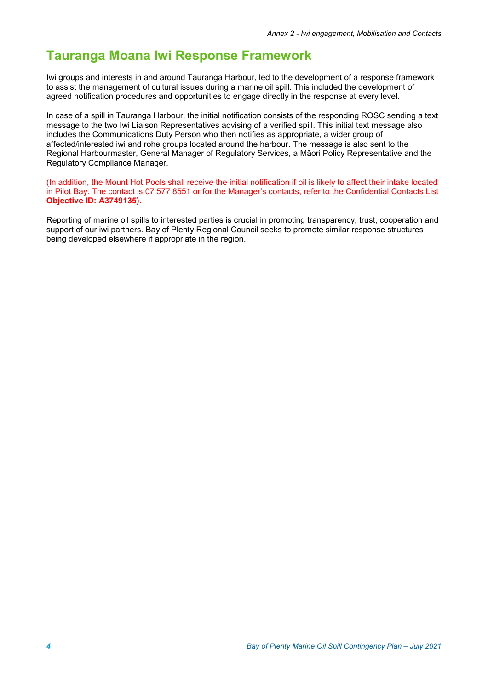## **Tauranga Moana Iwi Response Framework**

Iwi groups and interests in and around Tauranga Harbour, led to the development of a response framework to assist the management of cultural issues during a marine oil spill. This included the development of agreed notification procedures and opportunities to engage directly in the response at every level.

In case of a spill in Tauranga Harbour, the initial notification consists of the responding ROSC sending a text message to the two Iwi Liaison Representatives advising of a verified spill. This initial text message also includes the Communications Duty Person who then notifies as appropriate, a wider group of affected/interested iwi and rohe groups located around the harbour. The message is also sent to the Regional Harbourmaster, General Manager of Regulatory Services, a Māori Policy Representative and the Regulatory Compliance Manager.

(In addition, the Mount Hot Pools shall receive the initial notification if oil is likely to affect their intake located in Pilot Bay. The contact is 07 577 8551 or for the Manager's contacts, refer to the Confidential Contacts List **Objective ID: A3749135).**

Reporting of marine oil spills to interested parties is crucial in promoting transparency, trust, cooperation and support of our iwi partners. Bay of Plenty Regional Council seeks to promote similar response structures being developed elsewhere if appropriate in the region.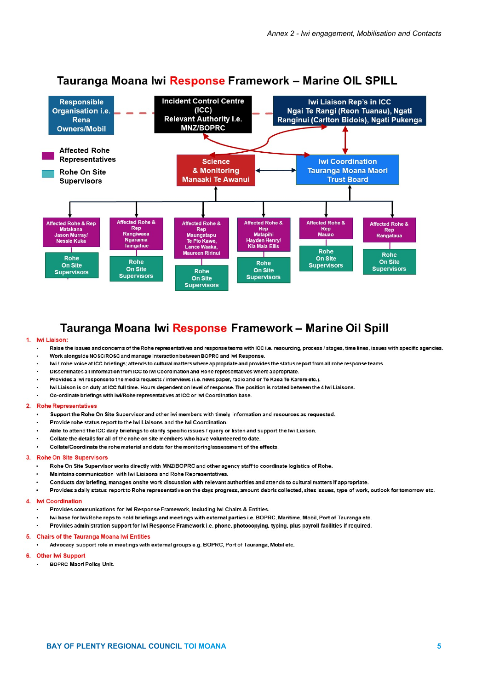

## Tauranga Moana lwi Response Framework - Marine OIL SPILL

## Tauranga Moana lwi Response Framework - Marine Oil Spill

### 1. Iwi Liaison:

- Raise the issues and concerns of the Rohe representatives and response teams with ICC i.e. resourcing, process / stages, time lines, issues with specific agencies.
- Work alongside NOSC/ROSC and manage interaction between BOPRC and Iwi Response.  $\overline{a}$
- $\ddot{\phantom{0}}$ Iwi / rohe voice at ICC briefings; attends to cultural matters where appropriate and provides the status report from all rohe response teams
- Disseminates all information from ICC to lwi Coordination and Rohe representatives where appropriate.
- Provides a lwi response to the media requests / interviews (i.e. news paper, radio and or Te Kaea Te Karere etc.).
- Iwi Liaison is on duty at ICC full time. Hours dependent on level of response. The position is rotated between the 4 Iwi Liaisons.
- Co-ordinate briefings with Iwi/Rohe representatives at ICC or Iwi Coordination base.

### 2. Rohe Representatives

- Support the Rohe On Site Supervisor and other iwi members with timely information and resources as requested.
- Provide rohe status report to the Iwi Liaisons and the Iwi Coordination.
- Able to attend the ICC daily briefings to clarify specific issues / query or listen and support the lwi Liaison.
- Collate the details for all of the rohe on site members who have volunteered to date.
- Collate/Coordinate the rohe material and data for the monitoring/assessment of the effects.

#### 3. **Rohe On Site Supervisors**

- Rohe On Site Supervisor works directly with MNZ/BOPRC and other agency staff to coordinate logistics of Rohe.
- Maintains communication with lwi Liaisons and Rohe Representatives.
	- Conducts day briefing, manages onsite work discussion with relevant authorities and attends to cultural matters if appropriate.
- Provides a daily status report to Rohe representative on the days progress, amount debris collected, sites issues, type of work, outlook for tomorrow etc.

#### **Iwi Coordination**  $\blacktriangle$

- Provides communications for Iwi Response Framework, including Iwi Chairs & Entities.
- Iwi base for Iwi/Rohe reps to hold briefings and meetings with external parties i.e. BOPRC, Maritime, Mobil, Port of Tauranga etc.
- Provides administration support for Iwi Response Framework i.e. phone, photocopying, typing, plus payroll facilities if required.

### **Chairs of the Tauranga Moana Iwi Entities** 5.

Advocacy support role in meetings with external groups e.g. BOPRC, Port of Tauranga, Mobil etc.

#### **Other Iwi Support** 6

**BOPRC Maori Policy Unit.**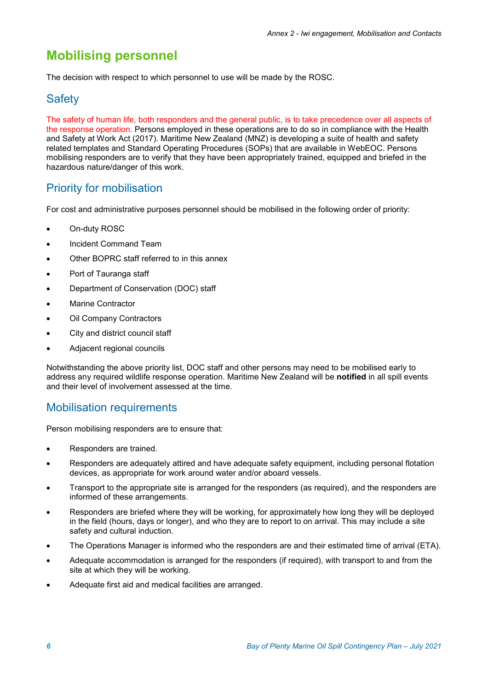## **Mobilising personnel**

The decision with respect to which personnel to use will be made by the ROSC.

## **Safety**

The safety of human life, both responders and the general public, is to take precedence over all aspects of the response operation. Persons employed in these operations are to do so in compliance with the Health and Safety at Work Act (2017). Maritime New Zealand (MNZ) is developing a suite of health and safety related templates and Standard Operating Procedures (SOPs) that are available in WebEOC. Persons mobilising responders are to verify that they have been appropriately trained, equipped and briefed in the hazardous nature/danger of this work.

## Priority for mobilisation

For cost and administrative purposes personnel should be mobilised in the following order of priority:

- On-duty ROSC
- Incident Command Team
- Other BOPRC staff referred to in this annex
- Port of Tauranga staff
- Department of Conservation (DOC) staff
- Marine Contractor
- **Oil Company Contractors**
- City and district council staff
- Adjacent regional councils

Notwithstanding the above priority list, DOC staff and other persons may need to be mobilised early to address any required wildlife response operation. Maritime New Zealand will be **notified** in all spill events and their level of involvement assessed at the time.

## Mobilisation requirements

Person mobilising responders are to ensure that:

- Responders are trained.
- Responders are adequately attired and have adequate safety equipment, including personal flotation devices, as appropriate for work around water and/or aboard vessels.
- Transport to the appropriate site is arranged for the responders (as required), and the responders are informed of these arrangements.
- Responders are briefed where they will be working, for approximately how long they will be deployed in the field (hours, days or longer), and who they are to report to on arrival. This may include a site safety and cultural induction.
- The Operations Manager is informed who the responders are and their estimated time of arrival (ETA).
- Adequate accommodation is arranged for the responders (if required), with transport to and from the site at which they will be working.
- Adequate first aid and medical facilities are arranged.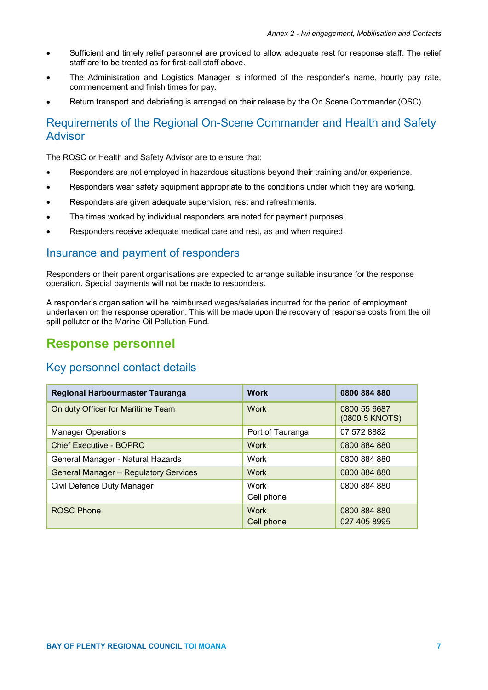- Sufficient and timely relief personnel are provided to allow adequate rest for response staff. The relief staff are to be treated as for first-call staff above.
- The Administration and Logistics Manager is informed of the responder's name, hourly pay rate, commencement and finish times for pay.
- Return transport and debriefing is arranged on their release by the On Scene Commander (OSC).

## Requirements of the Regional On-Scene Commander and Health and Safety Advisor

The ROSC or Health and Safety Advisor are to ensure that:

- Responders are not employed in hazardous situations beyond their training and/or experience.
- Responders wear safety equipment appropriate to the conditions under which they are working.
- Responders are given adequate supervision, rest and refreshments.
- The times worked by individual responders are noted for payment purposes.
- Responders receive adequate medical care and rest, as and when required.

## Insurance and payment of responders

Responders or their parent organisations are expected to arrange suitable insurance for the response operation. Special payments will not be made to responders.

A responder's organisation will be reimbursed wages/salaries incurred for the period of employment undertaken on the response operation. This will be made upon the recovery of response costs from the oil spill polluter or the Marine Oil Pollution Fund.

## **Response personnel**

## Key personnel contact details

| <b>Regional Harbourmaster Tauranga</b>       | <b>Work</b>               | 0800 884 880                   |
|----------------------------------------------|---------------------------|--------------------------------|
| On duty Officer for Maritime Team            | <b>Work</b>               | 0800 55 6687<br>(0800 5 KNOTS) |
| <b>Manager Operations</b>                    | Port of Tauranga          | 07 572 8882                    |
| <b>Chief Executive - BOPRC</b>               | <b>Work</b>               | 0800 884 880                   |
| General Manager - Natural Hazards            | Work                      | 0800 884 880                   |
| <b>General Manager - Regulatory Services</b> | <b>Work</b>               | 0800 884 880                   |
| Civil Defence Duty Manager                   | Work<br>Cell phone        | 0800 884 880                   |
| <b>ROSC Phone</b>                            | <b>Work</b><br>Cell phone | 0800 884 880<br>027 405 8995   |